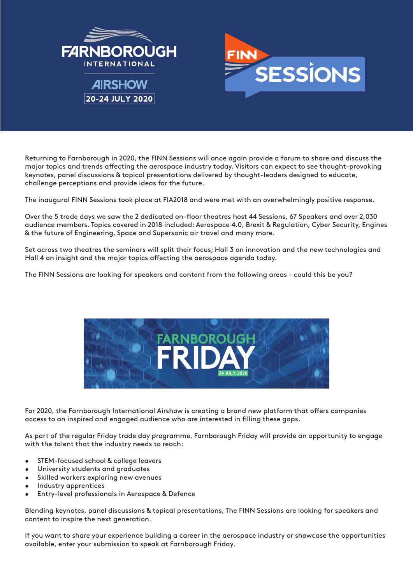

Returning to Farnborough in 2020, the FINN Sessions will once again provide a forum to share and discuss the major topics and trends affecting the aerospace industry today. Visitors can expect to see thought-provoking keynotes, panel discussions & topical presentations delivered by thought-leaders designed to educate, challenge perceptions and provide ideas for the future.

The inaugural FINN Sessions took place at FIA2018 and were met with an overwhelmingly positive response.

Over the 5 trade days we saw the 2 dedicated on-floor theatres host 44 Sessions, 67 Speakers and over 2,030 audience members. Topics covered in 2018 included: Aerospace 4.0, Brexit & Regulation, Cyber Security, Engines & the future of Engineering, Space and Supersonic air travel and many more.

Set across two theatres the seminars will split their focus; Hall 3 on innovation and the new technologies and Hall 4 on insight and the major topics affecting the aerospace agenda today.

The FINN Sessions are looking for speakers and content from the following areas - could this be you?



For 2020, the Farnborough International Airshow is creating a brand new platform that offers companies access to an inspired and engaged audience who are interested in filling these gaps.

As part of the regular Friday trade day programme, Farnborough Friday will provide an opportunity to engage with the talent that the industry needs to reach:

- STEM-focused school & college leavers
- University students and araduates
- Skilled workers exploring new avenues
- Industry apprentices
- Entry-level professionals in Aerospace & Defence

Blending keynotes, panel discussions & topical presentations, The FINN Sessions are looking for speakers and content to inspire the next generation.

If you want to share your experience building a career in the aerospace industry or showcase the opportunities available, enter your submission to speak at Farnborough Friday.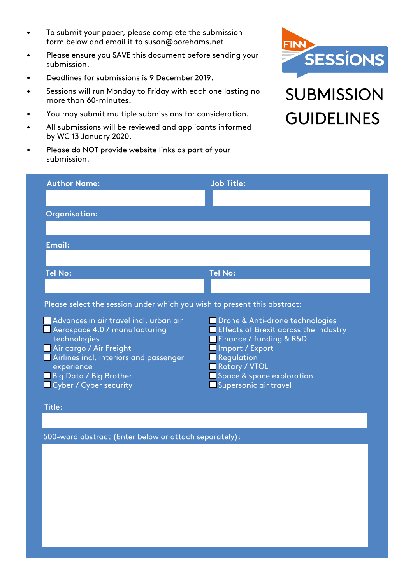- To submit your paper, please complete the submission form below and email it to susan@borehams.net
- Please ensure you SAVE this document before sending your submission.
- Deadlines for submissions is 9 December 2019.
- Sessions will run Monday to Friday with each one lasting no more than 60-minutes.
- You may submit multiple submissions for consideration.
- All submissions will be reviewed and applicants informed by WC 13 January 2020.
- Please do NOT provide website links as part of your submission.



## **SUBMISSION GUIDELINES**

| <b>Author Name:</b>                                                      | <b>Job Title:</b>                          |
|--------------------------------------------------------------------------|--------------------------------------------|
|                                                                          |                                            |
| <b>Organisation:</b>                                                     |                                            |
|                                                                          |                                            |
| Email:                                                                   |                                            |
|                                                                          |                                            |
|                                                                          |                                            |
| <b>Tel No:</b>                                                           | <b>Tel No:</b>                             |
|                                                                          |                                            |
| Please select the session under which you wish to present this abstract: |                                            |
| Advances in air travel incl. urban air                                   | Drone & Anti-drone technologies            |
| Aerospace 4.0 / manufacturing                                            | Effects of Brexit across the industry      |
| technologies<br>Air cargo / Air Freight                                  | Finance / funding & R&D<br>Import / Export |
| Airlines incl. interiors and passenger                                   | <b>Regulation</b>                          |
| experience<br><b>Big Data / Big Brother</b>                              | Rotary / VTOL<br>Space & space exploration |